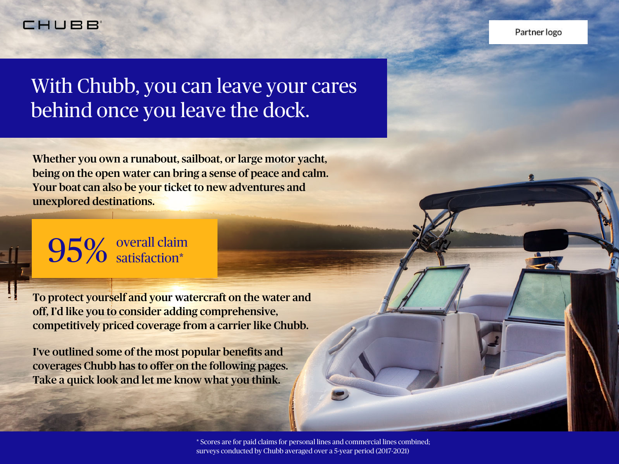#### **CHUBB~**

# With Chubb, you can leave your cares behind once you leave the dock.

Whether you own a runabout, sailboat, or large motor yacht, being on the open water can bring a sense of peace and calm. Your boat can also be your ticket to new adventures and unexplored destinations.

# 95% overall claim satisfaction\*

To protect yourself and your watercraft on the water and off, I'd like you to consider adding comprehensive, competitively priced coverage from a carrier like Chubb.

I've outlined some of the most popular benefits and coverages Chubb has to offer on the following pages. Take a quick look and let me know what you think.

> \* Scores are for paid claims for personal lines and commercial lines combined; surveys conducted by Chubb averaged over a 5-year period (2017-2021)